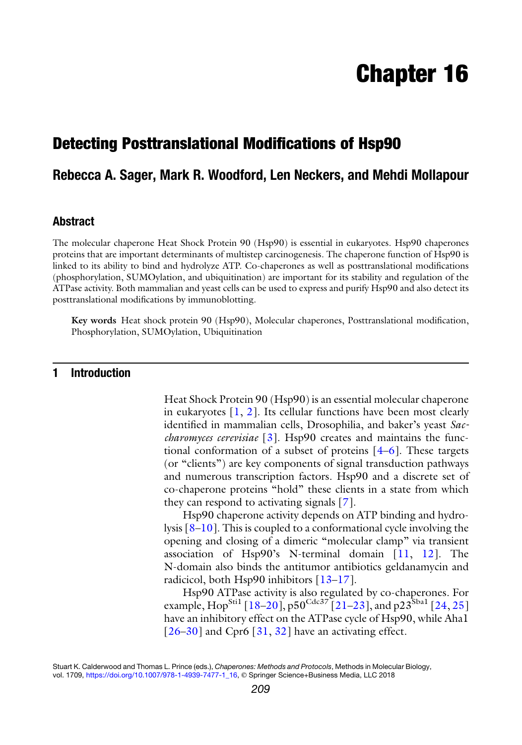# Chapter 16

## Detecting Posttranslational Modifications of Hsp90

### Rebecca A. Sager, Mark R. Woodford, Len Neckers, and Mehdi Mollapour

#### Abstract

The molecular chaperone Heat Shock Protein 90 (Hsp90) is essential in eukaryotes. Hsp90 chaperones proteins that are important determinants of multistep carcinogenesis. The chaperone function of Hsp90 is linked to its ability to bind and hydrolyze ATP. Co-chaperones as well as posttranslational modifications (phosphorylation, SUMOylation, and ubiquitination) are important for its stability and regulation of the ATPase activity. Both mammalian and yeast cells can be used to express and purify Hsp90 and also detect its posttranslational modifications by immunoblotting.

Key words Heat shock protein 90 (Hsp90), Molecular chaperones, Posttranslational modification, Phosphorylation, SUMOylation, Ubiquitination

#### 1 Introduction

Heat Shock Protein 90 (Hsp90) is an essential molecular chaperone in eukaryotes  $[1, 2]$  $[1, 2]$  $[1, 2]$ . Its cellular functions have been most clearly identified in mammalian cells, Drosophilia, and baker's yeast Sac*charomyces cerevisiae*  $\lceil 3 \rceil$ . Hsp90 creates and maintains the functional conformation of a subset of proteins  $[4–6]$  $[4–6]$  $[4–6]$ . These targets (or "clients") are key components of signal transduction pathways and numerous transcription factors. Hsp90 and a discrete set of co-chaperone proteins "hold" these clients in a state from which they can respond to activating signals [[7](#page-9-1)].

Hsp90 chaperone activity depends on ATP binding and hydrolysis [[8](#page-9-2)[–10\]](#page-9-3). This is coupled to a conformational cycle involving the opening and closing of a dimeric "molecular clamp" via transient association of Hsp90's N-terminal domain [[11](#page-9-4), [12\]](#page-9-5). The N-domain also binds the antitumor antibiotics geldanamycin and radicicol, both Hsp90 inhibitors [\[13](#page-9-6)[–17](#page-9-7)].

Hsp90 ATPase activity is also regulated by co-chaperones. For example, Hop<sup>Sti1</sup> [\[18](#page-9-8)[–20](#page-9-9)], p50<sup>Cdc37</sup> [\[21](#page-9-10)[–23](#page-9-11)], and p23<sup>Sba1</sup> [[24,](#page-9-12) [25](#page-9-5)] have an inhibitory effect on the ATPase cycle of Hsp90, while Aha1  $[26-30]$  $[26-30]$  and Cpr6  $[31, 32]$  $[31, 32]$  $[31, 32]$  $[31, 32]$  have an activating effect.

Stuart K. Calderwood and Thomas L. Prince (eds.), Chaperones: Methods and Protocols, Methods in Molecular Biology, vol. 1709, [https://doi.org/10.1007/978-1-4939-7477-1\\_16,](https://doi.org/10.1007/978-1-4939-7477-1_16) © Springer Science+Business Media, LLC 2018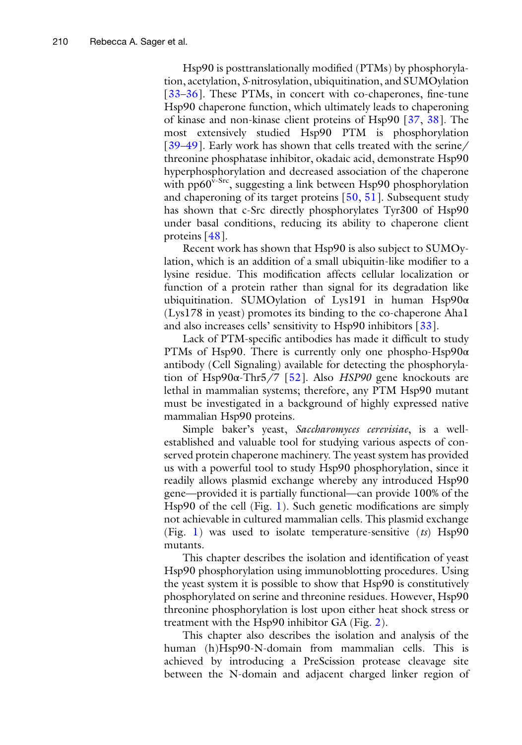Hsp90 is posttranslationally modified (PTMs) by phosphorylation, acetylation, S-nitrosylation, ubiquitination, and SUMOylation [[33–](#page-10-0)[36\]](#page-10-1). These PTMs, in concert with co-chaperones, fine-tune Hsp90 chaperone function, which ultimately leads to chaperoning of kinase and non-kinase client proteins of Hsp90 [[37](#page-10-2), [38\]](#page-10-3). The most extensively studied Hsp90 PTM is phosphorylation [[39–](#page-10-4)[49\]](#page-10-5). Early work has shown that cells treated with the serine/ threonine phosphatase inhibitor, okadaic acid, demonstrate Hsp90 hyperphosphorylation and decreased association of the chaperone with  $pp60^{\nu\text{-}Src}$ , suggesting a link between Hsp90 phosphorylation and chaperoning of its target proteins [[50,](#page-10-6) [51](#page-10-7)]. Subsequent study has shown that c-Src directly phosphorylates Tyr300 of Hsp90 under basal conditions, reducing its ability to chaperone client proteins [[48](#page-10-8)].

Recent work has shown that Hsp90 is also subject to SUMOylation, which is an addition of a small ubiquitin-like modifier to a lysine residue. This modification affects cellular localization or function of a protein rather than signal for its degradation like ubiquitination. SUMOylation of Lys191 in human Hsp90α (Lys178 in yeast) promotes its binding to the co-chaperone Aha1 and also increases cells' sensitivity to Hsp90 inhibitors [\[33\]](#page-10-0).

Lack of PTM-specific antibodies has made it difficult to study PTMs of Hsp90. There is currently only one phospho-Hsp90 $\alpha$ antibody (Cell Signaling) available for detecting the phosphoryla-tion of Hsp90α-Thr5/7 [\[52](#page-10-9)]. Also HSP90 gene knockouts are lethal in mammalian systems; therefore, any PTM Hsp90 mutant must be investigated in a background of highly expressed native mammalian Hsp90 proteins.

Simple baker's yeast, Saccharomyces cerevisiae, is a wellestablished and valuable tool for studying various aspects of conserved protein chaperone machinery. The yeast system has provided us with a powerful tool to study Hsp90 phosphorylation, since it readily allows plasmid exchange whereby any introduced Hsp90 gene—provided it is partially functional—can provide 100% of the Hsp90 of the cell (Fig. [1\)](#page-2-0). Such genetic modifications are simply not achievable in cultured mammalian cells. This plasmid exchange (Fig. [1](#page-2-0)) was used to isolate temperature-sensitive  $(ts)$  Hsp90 mutants.

This chapter describes the isolation and identification of yeast Hsp90 phosphorylation using immunoblotting procedures. Using the yeast system it is possible to show that Hsp90 is constitutively phosphorylated on serine and threonine residues. However, Hsp90 threonine phosphorylation is lost upon either heat shock stress or treatment with the Hsp90 inhibitor GA (Fig. [2\)](#page-2-1).

This chapter also describes the isolation and analysis of the human (h)Hsp90-N-domain from mammalian cells. This is achieved by introducing a PreScission protease cleavage site between the N-domain and adjacent charged linker region of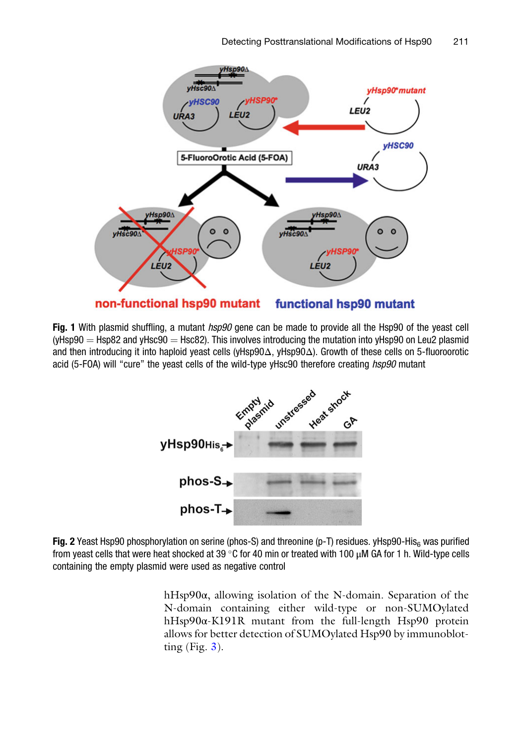<span id="page-2-0"></span>

<span id="page-2-1"></span>Fig. 1 With plasmid shuffling, a mutant *hsp90* gene can be made to provide all the Hsp90 of the yeast cell  $(yHsp90 = Hsp82$  and  $yHsc90 = Hsc82$ ). This involves introducing the mutation into  $yHsp90$  on Leu2 plasmid and then introducing it into haploid yeast cells (yHsp90Δ, yHsp90Δ). Growth of these cells on 5-fluoroorotic acid (5-FOA) will "cure" the yeast cells of the wild-type yHsc90 therefore creating hsp90 mutant



Fig. 2 Yeast Hsp90 phosphorylation on serine (phos-S) and threonine (p-T) residues. yHsp90-His<sub>6</sub> was purified from yeast cells that were heat shocked at 39 °C for 40 min or treated with 100 μM GA for 1 h. Wild-type cells containing the empty plasmid were used as negative control

> hHsp90α, allowing isolation of the N-domain. Separation of the N-domain containing either wild-type or non-SUMOylated hHsp90α-K191R mutant from the full-length Hsp90 protein allows for better detection of SUMOylated Hsp90 by immunoblotting  $(Fig. 3)$  $(Fig. 3)$ .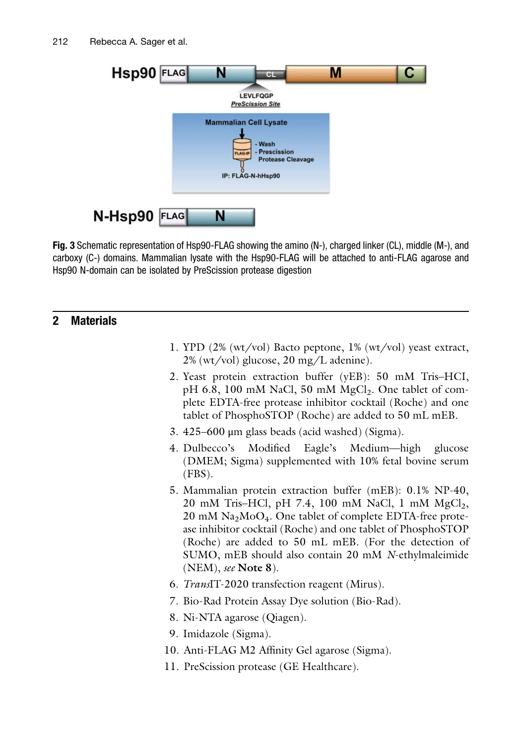<span id="page-3-0"></span>

Fig. 3 Schematic representation of Hsp90-FLAG showing the amino (N-), charged linker (CL), middle (M-), and carboxy (C-) domains. Mammalian lysate with the Hsp90-FLAG will be attached to anti-FLAG agarose and Hsp90 N-domain can be isolated by PreScission protease digestion

#### 2 Materials

- 1. YPD (2% (wt/vol) Bacto peptone, 1% (wt/vol) yeast extract, 2% (wt/vol) glucose, 20 mg/L adenine).
- 2. Yeast protein extraction buffer (yEB): 50 mM Tris–HCI, pH 6.8, 100 mM NaCl, 50 mM  $MgCl<sub>2</sub>$ . One tablet of complete EDTA-free protease inhibitor cocktail (Roche) and one tablet of PhosphoSTOP (Roche) are added to 50 mL mEB.
- 3. 425–600 μm glass beads (acid washed) (Sigma).
- 4. Dulbecco's Modified Eagle's Medium—high glucose (DMEM; Sigma) supplemented with 10% fetal bovine serum  $(FBS)$ .
- 5. Mammalian protein extraction buffer (mEB): 0.1% NP-40, 20 mM Tris–HCl, pH 7.4, 100 mM NaCl, 1 mM  $MgCl<sub>2</sub>$ ,  $20 \text{ mM Na}_2\text{MoO}_4$ . One tablet of complete EDTA-free protease inhibitor cocktail (Roche) and one tablet of PhosphoSTOP (Roche) are added to 50 mL mEB. (For the detection of SUMO, mEB should also contain 20 mM N-ethylmaleimide (NEM), see Note 8).
- 6. TransIT-2020 transfection reagent (Mirus).
- 7. Bio-Rad Protein Assay Dye solution (Bio-Rad).
- 8. Ni-NTA agarose (Qiagen).
- 9. Imidazole (Sigma).
- 10. Anti-FLAG M2 Affinity Gel agarose (Sigma).
- 11. PreScission protease (GE Healthcare).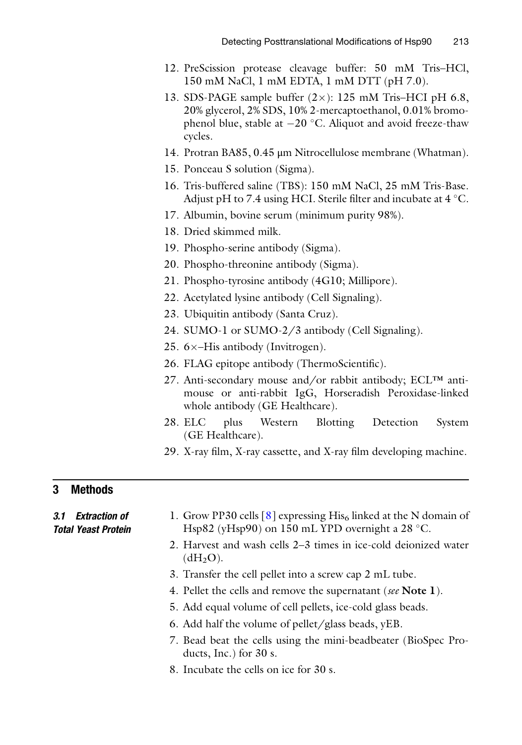- 12. PreScission protease cleavage buffer: 50 mM Tris–HCl, 150 mM NaCl, 1 mM EDTA, 1 mM DTT (pH 7.0).
- 13. SDS-PAGE sample buffer  $(2\times)$ : 125 mM Tris–HCI pH 6.8, 20% glycerol, 2% SDS, 10% 2-mercaptoethanol, 0.01% bromophenol blue, stable at  $-20$  °C. Aliquot and avoid freeze-thaw cycles.
- 14. Protran BA85, 0.45 μm Nitrocellulose membrane (Whatman).
- 15. Ponceau S solution (Sigma).
- 16. Tris-buffered saline (TBS): 150 mM NaCl, 25 mM Tris-Base. Adjust pH to 7.4 using HCI. Sterile filter and incubate at  $4^{\circ}$ C.
- 17. Albumin, bovine serum (minimum purity 98%).
- 18. Dried skimmed milk.
- 19. Phospho-serine antibody (Sigma).
- 20. Phospho-threonine antibody (Sigma).
- 21. Phospho-tyrosine antibody (4G10; Millipore).
- 22. Acetylated lysine antibody (Cell Signaling).
- 23. Ubiquitin antibody (Santa Cruz).
- 24. SUMO-1 or SUMO-2/3 antibody (Cell Signaling).
- 25.  $6\times$ -His antibody (Invitrogen).
- 26. FLAG epitope antibody (ThermoScientific).
- 27. Anti-secondary mouse and/or rabbit antibody; ECL™ antimouse or anti-rabbit IgG, Horseradish Peroxidase-linked whole antibody (GE Healthcare).
- 28. ELC plus Western Blotting Detection System (GE Healthcare).
- 29. X-ray film, X-ray cassette, and X-ray film developing machine.

#### 3 Methods

| <b>Extraction of</b><br>3.1<br><b>Total Yeast Protein</b> | 1. Grow PP30 cells $[8]$ expressing His <sub>6</sub> linked at the N domain of<br>Hsp82 (yHsp90) on 150 mL YPD overnight a 28 °C. |  |  |  |  |
|-----------------------------------------------------------|-----------------------------------------------------------------------------------------------------------------------------------|--|--|--|--|
|                                                           | 2. Harvest and wash cells 2–3 times in ice-cold deionized water<br>(dH <sub>2</sub> O).                                           |  |  |  |  |
|                                                           | 3. Transfer the cell pellet into a screw cap 2 mL tube.                                                                           |  |  |  |  |
|                                                           | 4. Pellet the cells and remove the supernatant (see Note 1).                                                                      |  |  |  |  |
|                                                           | 5. Add equal volume of cell pellets, ice-cold glass beads.                                                                        |  |  |  |  |
|                                                           | 6. Add half the volume of pellet/glass beads, yEB.                                                                                |  |  |  |  |
|                                                           | 7. Bead beat the cells using the mini-beadbeater (BioSpec Pro-<br>ducts, Inc.) for $30$ s.                                        |  |  |  |  |
|                                                           | 8. Incubate the cells on ice for 30 s.                                                                                            |  |  |  |  |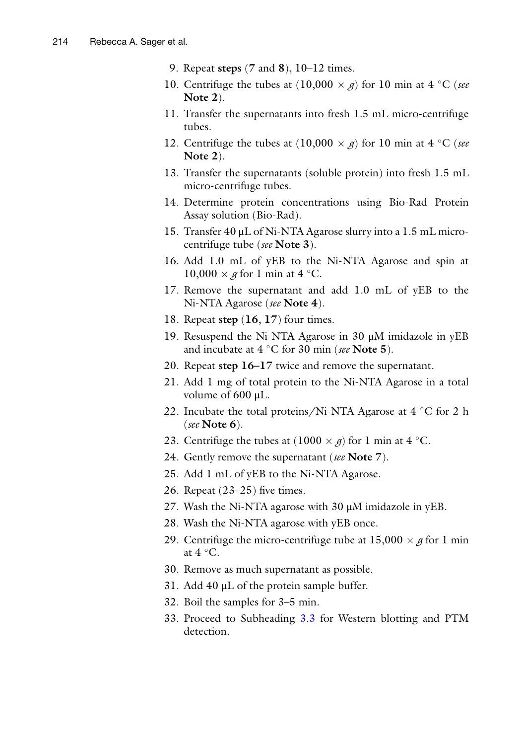- 9. Repeat steps (7 and 8), 10–12 times.
- 10. Centrifuge the tubes at  $(10,000 \times g)$  for 10 min at 4 °C (see Note 2).
- 11. Transfer the supernatants into fresh 1.5 mL micro-centrifuge tubes.
- 12. Centrifuge the tubes at  $(10,000 \times g)$  for 10 min at 4 °C (see Note 2).
- 13. Transfer the supernatants (soluble protein) into fresh 1.5 mL micro-centrifuge tubes.
- 14. Determine protein concentrations using Bio-Rad Protein Assay solution (Bio-Rad).
- 15. Transfer 40 μL of Ni-NTA Agarose slurry into a 1.5 mL microcentrifuge tube (see Note 3).
- 16. Add 1.0 mL of yEB to the Ni-NTA Agarose and spin at  $10,000 \times g$  for 1 min at 4 °C.
- 17. Remove the supernatant and add 1.0 mL of yEB to the Ni-NTA Agarose (see **Note 4**).
- 18. Repeat step (16, 17) four times.
- 19. Resuspend the Ni-NTA Agarose in 30 μM imidazole in yEB and incubate at  $4^{\circ}$ C for 30 min (see Note 5).
- 20. Repeat step 16–17 twice and remove the supernatant.
- 21. Add 1 mg of total protein to the Ni-NTA Agarose in a total volume of 600 μL.
- 22. Incubate the total proteins/Ni-NTA Agarose at  $4^{\circ}$ C for 2 h (see Note  $6$ ).
- 23. Centrifuge the tubes at  $(1000 \times g)$  for 1 min at 4 °C.
- 24. Gently remove the supernatant (see Note 7).
- 25. Add 1 mL of yEB to the Ni-NTA Agarose.
- 26. Repeat (23–25) five times.
- 27. Wash the Ni-NTA agarose with 30 μM imidazole in yEB.
- 28. Wash the Ni-NTA agarose with yEB once.
- 29. Centrifuge the micro-centrifuge tube at  $15,000 \times g$  for 1 min at  $4^{\circ}$ C.
- 30. Remove as much supernatant as possible.
- 31. Add 40  $\mu$ L of the protein sample buffer.
- 32. Boil the samples for 3–5 min.
- 33. Proceed to Subheading [3.3](#page-6-0) for Western blotting and PTM detection.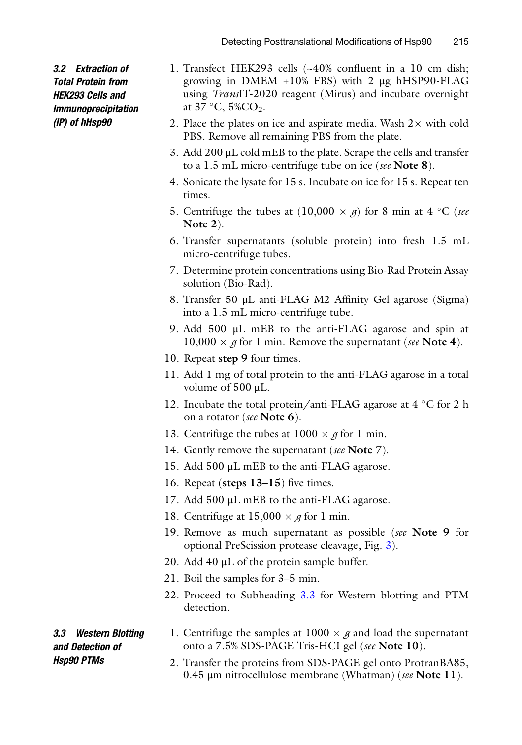3.2 Extraction of Total Protein from HEK293 Cells and Immunoprecipitation (IP) of hHsp90

- 1. Transfect HEK293 cells (~40% confluent in a 10 cm dish; growing in DMEM +10% FBS) with 2 μg hHSP90-FLAG using TransIT-2020 reagent (Mirus) and incubate overnight at  $37^{\circ}$ C,  $5\%$ CO<sub>2</sub>.
- 2. Place the plates on ice and aspirate media. Wash  $2\times$  with cold PBS. Remove all remaining PBS from the plate.
- 3. Add 200 μL cold mEB to the plate. Scrape the cells and transfer to a 1.5 mL micro-centrifuge tube on ice (see Note 8).
- 4. Sonicate the lysate for 15 s. Incubate on ice for 15 s. Repeat ten times.
- 5. Centrifuge the tubes at  $(10,000 \times g)$  for 8 min at 4 °C (see Note 2).
- 6. Transfer supernatants (soluble protein) into fresh 1.5 mL micro-centrifuge tubes.
- 7. Determine protein concentrations using Bio-Rad Protein Assay solution (Bio-Rad).
- 8. Transfer 50 μL anti-FLAG M2 Affinity Gel agarose (Sigma) into a 1.5 mL micro-centrifuge tube.
- 9. Add 500 μL mEB to the anti-FLAG agarose and spin at  $10,000 \times g$  for 1 min. Remove the supernatant (see Note 4).
- 10. Repeat step 9 four times.
- 11. Add 1 mg of total protein to the anti-FLAG agarose in a total volume of 500 μL.
- 12. Incubate the total protein/anti-FLAG agarose at  $4 °C$  for 2 h on a rotator (see Note 6).
- 13. Centrifuge the tubes at  $1000 \times g$  for 1 min.
- 14. Gently remove the supernatant (see Note 7).
- 15. Add 500 μL mEB to the anti-FLAG agarose.
- 16. Repeat (steps 13–15) five times.
- 17. Add 500 μL mEB to the anti-FLAG agarose.
- 18. Centrifuge at  $15,000 \times g$  for 1 min.
- 19. Remove as much supernatant as possible (see Note 9 for optional PreScission protease cleavage, Fig. [3\)](#page-3-0).
- 20. Add 40 μL of the protein sample buffer.
- 21. Boil the samples for 3–5 min.
- 22. Proceed to Subheading [3.3](#page-6-0) for Western blotting and PTM detection.
- 1. Centrifuge the samples at  $1000 \times g$  and load the supernatant onto a 7.5% SDS-PAGE Tris-HCI gel (see Note 10).
- 2. Transfer the proteins from SDS-PAGE gel onto ProtranBA85, 0.45 <sup>μ</sup>m nitrocellulose membrane (Whatman) (see Note 11).

<span id="page-6-0"></span>3.3 Western Blotting and Detection of Hsp90 PTMs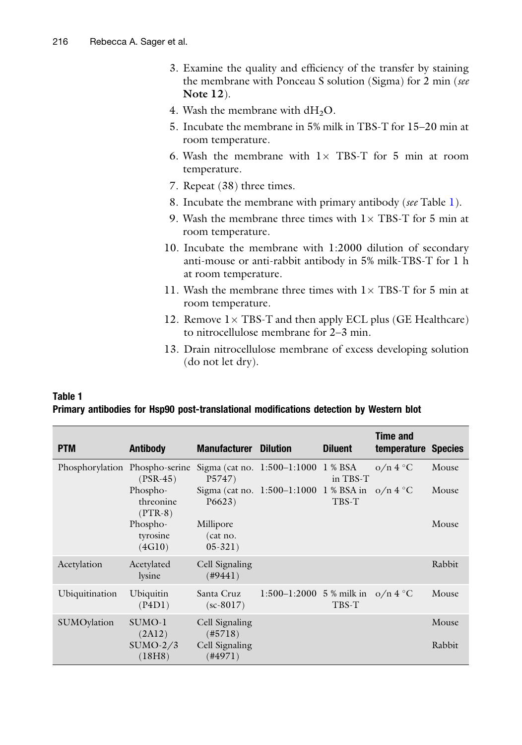- 3. Examine the quality and efficiency of the transfer by staining the membrane with Ponceau S solution (Sigma) for 2 min (see Note 12).
- 4. Wash the membrane with  $dH_2O$ .
- 5. Incubate the membrane in 5% milk in TBS-T for 15–20 min at room temperature.
- 6. Wash the membrane with  $1 \times$  TBS-T for 5 min at room temperature.
- 7. Repeat (38) three times.
- 8. Incubate the membrane with primary antibody (see Table [1](#page-7-0)).
- 9. Wash the membrane three times with  $1 \times$  TBS-T for 5 min at room temperature.
- 10. Incubate the membrane with 1:2000 dilution of secondary anti-mouse or anti-rabbit antibody in 5% milk-TBS-T for 1 h at room temperature.
- 11. Wash the membrane three times with  $1 \times$  TBS-T for 5 min at room temperature.
- 12. Remove  $1 \times TBS-T$  and then apply ECL plus (GE Healthcare) to nitrocellulose membrane for 2–3 min.
- 13. Drain nitrocellulose membrane of excess developing solution (do not let dry).

#### <span id="page-7-0"></span>Table 1 Primary antibodies for Hsp90 post-translational modifications detection by Western blot

| <b>PTM</b>                     | <b>Antibody</b>                    | <b>Manufacturer</b>                 | <b>Dilution</b>                                   | <b>Diluent</b>      | <b>Time and</b><br>temperature Species |        |
|--------------------------------|------------------------------------|-------------------------------------|---------------------------------------------------|---------------------|----------------------------------------|--------|
| Phosphorylation Phospho-serine | $(PSR-45)$                         | P5747)                              | Sigma (cat no. $1:500-1:1000$                     | 1 % BSA<br>in TBS-T | o/n 4 °C                               | Mouse  |
|                                | Phospho-<br>threonine<br>$(PTR-8)$ | P6623                               | Sigma (cat no. 1:500-1:1000 1 % BSA in $o/n 4 °C$ | TBS-T               |                                        | Mouse  |
|                                | Phospho-<br>tyrosine<br>(4G10)     | Millipore<br>(cat no.<br>$05 - 321$ |                                                   |                     |                                        | Mouse  |
| Acetylation                    | Acetylated<br><i>lysine</i>        | Cell Signaling<br>(#9441)           |                                                   |                     |                                        | Rabbit |
| Ubiquitination                 | Ubiquitin<br>(P4D1)                | Santa Cruz<br>$(sc-8017)$           | 1:500-1:2000 5 % milk in $o/n 4 °C$               | TBS-T               |                                        | Mouse  |
| SUMOylation                    | SUMO-1<br>(2A12)                   | Cell Signaling<br>(#5718)           |                                                   |                     |                                        | Mouse  |
|                                | $SUMO-2/3$<br>(18H8)               | Cell Signaling<br>(#4971)           |                                                   |                     |                                        | Rabbit |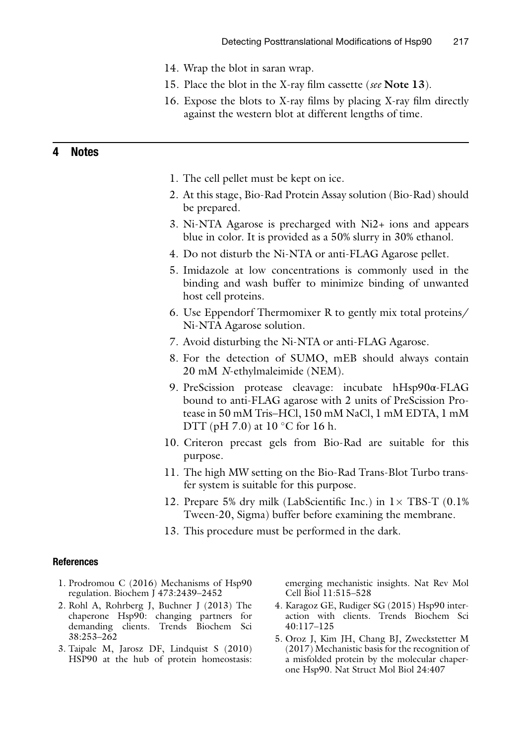- 14. Wrap the blot in saran wrap.
- 15. Place the blot in the X-ray film cassette (see **Note 13**).
- 16. Expose the blots to X-ray films by placing X-ray film directly against the western blot at different lengths of time.

#### 4 Notes

- 1. The cell pellet must be kept on ice.
- 2. At this stage, Bio-Rad Protein Assay solution (Bio-Rad) should be prepared.
- 3. Ni-NTA Agarose is precharged with Ni2+ ions and appears blue in color. It is provided as a 50% slurry in 30% ethanol.
- 4. Do not disturb the Ni-NTA or anti-FLAG Agarose pellet.
- 5. Imidazole at low concentrations is commonly used in the binding and wash buffer to minimize binding of unwanted host cell proteins.
- 6. Use Eppendorf Thermomixer R to gently mix total proteins/ Ni-NTA Agarose solution.
- 7. Avoid disturbing the Ni-NTA or anti-FLAG Agarose.
- 8. For the detection of SUMO, mEB should always contain 20 mM N-ethylmaleimide (NEM).
- 9. PreScission protease cleavage: incubate hHsp90α-FLAG bound to anti-FLAG agarose with 2 units of PreScission Protease in 50 mM Tris–HCl, 150 mM NaCl, 1 mM EDTA, 1 mM DTT (pH  $7.0$ ) at  $10 °C$  for 16 h.
- 10. Criteron precast gels from Bio-Rad are suitable for this purpose.
- 11. The high MW setting on the Bio-Rad Trans-Blot Turbo transfer system is suitable for this purpose.
- 12. Prepare 5% dry milk (LabScientific Inc.) in  $1 \times$  TBS-T (0.1%) Tween-20, Sigma) buffer before examining the membrane.
- 13. This procedure must be performed in the dark.

#### <span id="page-8-0"></span>References

- 1. Prodromou C (2016) Mechanisms of Hsp90 regulation. Biochem J 473:2439–2452
- <span id="page-8-1"></span>2. Rohl A, Rohrberg J, Buchner J (2013) The chaperone Hsp90: changing partners for demanding clients. Trends Biochem Sci 38:253–262
- <span id="page-8-2"></span>3. Taipale M, Jarosz DF, Lindquist S (2010) HSP90 at the hub of protein homeostasis:

emerging mechanistic insights. Nat Rev Mol Cell Biol 11:515–528

- 4. Karagoz GE, Rudiger SG (2015) Hsp90 interaction with clients. Trends Biochem Sci 40:117–125
- 5. Oroz J, Kim JH, Chang BJ, Zweckstetter M (2017) Mechanistic basis for the recognition of a misfolded protein by the molecular chaperone Hsp90. Nat Struct Mol Biol 24:407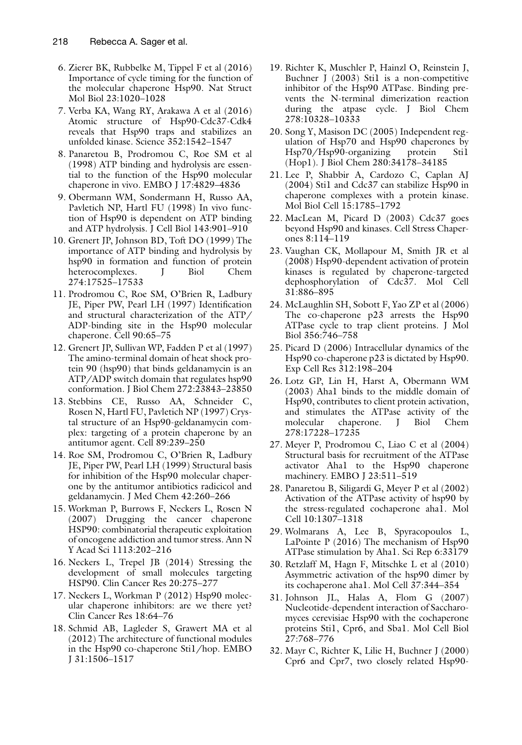- <span id="page-9-0"></span>6. Zierer BK, Rubbelke M, Tippel F et al (2016) Importance of cycle timing for the function of the molecular chaperone Hsp90. Nat Struct Mol Biol 23:1020–1028
- <span id="page-9-9"></span><span id="page-9-1"></span>7. Verba KA, Wang RY, Arakawa A et al (2016) Atomic structure of Hsp90-Cdc37-Cdk4 reveals that Hsp90 traps and stabilizes an unfolded kinase. Science 352:1542–1547
- <span id="page-9-10"></span><span id="page-9-2"></span>8. Panaretou B, Prodromou C, Roe SM et al (1998) ATP binding and hydrolysis are essential to the function of the Hsp90 molecular chaperone in vivo. EMBO J 17:4829–4836
- 9. Obermann WM, Sondermann H, Russo AA, Pavletich NP, Hartl FU (1998) In vivo function of Hsp90 is dependent on ATP binding and ATP hydrolysis. J Cell Biol 143:901–910
- <span id="page-9-11"></span><span id="page-9-3"></span>10. Grenert JP, Johnson BD, Toft DO (1999) The importance of ATP binding and hydrolysis by hsp90 in formation and function of protein heterocomplexes. J Biol Chem 274:17525–17533
- <span id="page-9-12"></span><span id="page-9-4"></span>11. Prodromou C, Roe SM, O'Brien R, Ladbury JE, Piper PW, Pearl LH (1997) Identification and structural characterization of the ATP/ ADP-binding site in the Hsp90 molecular chaperone. Cell 90:65–75
- <span id="page-9-5"></span>12. Grenert JP, Sullivan WP, Fadden P et al (1997) The amino-terminal domain of heat shock protein 90 (hsp90) that binds geldanamycin is an ATP/ADP switch domain that regulates hsp90 conformation. J Biol Chem 272:23843–23850
- <span id="page-9-13"></span><span id="page-9-6"></span>13. Stebbins CE, Russo AA, Schneider C, Rosen N, Hartl FU, Pavletich NP (1997) Crystal structure of an Hsp90-geldanamycin complex: targeting of a protein chaperone by an antitumor agent. Cell 89:239–250
- 14. Roe SM, Prodromou C, O'Brien R, Ladbury JE, Piper PW, Pearl LH (1999) Structural basis for inhibition of the Hsp90 molecular chaperone by the antitumor antibiotics radicicol and geldanamycin. J Med Chem 42:260–266
- 15. Workman P, Burrows F, Neckers L, Rosen N (2007) Drugging the cancer chaperone HSP90: combinatorial therapeutic exploitation of oncogene addiction and tumor stress. Ann N Y Acad Sci 1113:202–216
- <span id="page-9-14"></span>16. Neckers L, Trepel JB (2014) Stressing the development of small molecules targeting HSP90. Clin Cancer Res 20:275–277
- <span id="page-9-15"></span><span id="page-9-7"></span>17. Neckers L, Workman P (2012) Hsp90 molecular chaperone inhibitors: are we there yet? Clin Cancer Res 18:64–76
- <span id="page-9-16"></span><span id="page-9-8"></span>18. Schmid AB, Lagleder S, Grawert MA et al (2012) The architecture of functional modules in the Hsp90 co-chaperone Sti1/hop. EMBO J 31:1506–1517
- 19. Richter K, Muschler P, Hainzl O, Reinstein J, Buchner J (2003) Stil is a non-competitive inhibitor of the Hsp90 ATPase. Binding prevents the N-terminal dimerization reaction during the atpase cycle. J Biol Chem 278:10328–10333
- 20. Song Y, Masison DC (2005) Independent regulation of Hsp70 and Hsp90 chaperones by Hsp70/Hsp90-organizing protein (Hop1). J Biol Chem 280:34178–34185
- 21. Lee P, Shabbir A, Cardozo C, Caplan AJ (2004) Sti1 and Cdc37 can stabilize Hsp90 in chaperone complexes with a protein kinase. Mol Biol Cell 15:1785–1792
- 22. MacLean M, Picard D (2003) Cdc37 goes beyond Hsp90 and kinases. Cell Stress Chaperones 8:114–119
- 23. Vaughan CK, Mollapour M, Smith JR et al (2008) Hsp90-dependent activation of protein kinases is regulated by chaperone-targeted dephosphorylation of Cdc37. Mol Cell 31:886–895
- 24. McLaughlin SH, Sobott F, Yao ZP et al (2006) The co-chaperone p23 arrests the Hsp90 ATPase cycle to trap client proteins. J Mol Biol 356:746–758
- 25. Picard D (2006) Intracellular dynamics of the Hsp90 co-chaperone p23 is dictated by Hsp90. Exp Cell Res 312:198–204
- 26. Lotz GP, Lin H, Harst A, Obermann WM (2003) Aha1 binds to the middle domain of Hsp90, contributes to client protein activation, and stimulates the ATPase activity of the molecular chaperone. J Biol Chem 278:17228–17235
- 27. Meyer P, Prodromou C, Liao C et al (2004) Structural basis for recruitment of the ATPase activator Aha1 to the Hsp90 chaperone machinery. EMBO J 23:511–519
- 28. Panaretou B, Siligardi G, Meyer P et al (2002) Activation of the ATPase activity of hsp90 by the stress-regulated cochaperone aha1. Mol Cell 10:1307–1318
- 29. Wolmarans A, Lee B, Spyracopoulos L, LaPointe P (2016) The mechanism of Hsp90 ATPase stimulation by Aha1. Sci Rep 6:33179
- 30. Retzlaff M, Hagn F, Mitschke L et al (2010) Asymmetric activation of the hsp90 dimer by its cochaperone aha1. Mol Cell 37:344–354
- 31. Johnson JL, Halas A, Flom G (2007) Nucleotide-dependent interaction of Saccharomyces cerevisiae Hsp90 with the cochaperone proteins Sti1, Cpr6, and Sba1. Mol Cell Biol 27:768–776
- 32. Mayr C, Richter K, Lilie H, Buchner J (2000) Cpr6 and Cpr7, two closely related Hsp90-